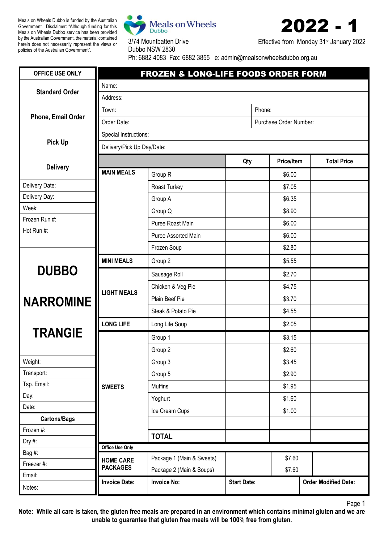Meals on Wheels Dubbo is funded by the Australian Government. Disclaimer: "Although funding for this Meals on Wheels Dubbo service has been provided by the Australian Government, the material contained herein does not necessarily represent the views or policies of the Australian Government".



3/74 Mountbatten Drive



Effective from Monday 31<sup>st</sup> January 2022

Dubbo NSW 2830 Ph: 6882 4083 Fax: 6882 3855 e: admin@mealsonwheelsdubbo.org.au

| OFFICE USE ONLY       |                            | FROZEN & LONG-LIFE FOODS ORDER FORM |                    |                   |                             |
|-----------------------|----------------------------|-------------------------------------|--------------------|-------------------|-----------------------------|
|                       | Name:                      |                                     |                    |                   |                             |
| <b>Standard Order</b> | Address:                   |                                     |                    |                   |                             |
|                       | Phone:<br>Town:            |                                     |                    |                   |                             |
| Phone, Email Order    | Order Date:                | Purchase Order Number:              |                    |                   |                             |
|                       | Special Instructions:      |                                     |                    |                   |                             |
| <b>Pick Up</b>        | Delivery/Pick Up Day/Date: |                                     |                    |                   |                             |
|                       |                            |                                     | Qty                | <b>Price/Item</b> | <b>Total Price</b>          |
| <b>Delivery</b>       | <b>MAIN MEALS</b>          | Group R                             |                    | \$6.00            |                             |
| Delivery Date:        |                            | Roast Turkey                        |                    | \$7.05            |                             |
| Delivery Day:         |                            | Group A                             |                    | \$6.35            |                             |
| Week:                 |                            | Group Q                             |                    | \$8.90            |                             |
| Frozen Run #:         |                            | Puree Roast Main                    |                    | \$6.00            |                             |
| Hot Run #:            |                            | Puree Assorted Main                 |                    | \$6.00            |                             |
|                       |                            | Frozen Soup                         |                    | \$2.80            |                             |
|                       | <b>MINI MEALS</b>          | Group 2                             |                    | \$5.55            |                             |
| <b>DUBBO</b>          |                            | Sausage Roll                        |                    | \$2.70            |                             |
| <b>NARROMINE</b>      | <b>LIGHT MEALS</b>         | Chicken & Veg Pie                   |                    | \$4.75            |                             |
|                       |                            | Plain Beef Pie                      |                    | \$3.70            |                             |
|                       |                            | Steak & Potato Pie                  |                    | \$4.55            |                             |
|                       | <b>LONG LIFE</b>           | Long Life Soup                      |                    | \$2.05            |                             |
| <b>TRANGIE</b>        |                            | Group 1                             |                    | \$3.15            |                             |
|                       |                            | Group 2                             |                    | \$2.60            |                             |
| Weight:               |                            | Group 3                             |                    | \$3.45            |                             |
| Transport:            |                            | Group 5                             |                    | \$2.90            |                             |
| Tsp. Email:           | <b>SWEETS</b>              | <b>Muffins</b>                      |                    | \$1.95            |                             |
| Day:                  |                            | Yoghurt                             |                    | \$1.60            |                             |
| Date:                 |                            | Ice Cream Cups                      |                    | \$1.00            |                             |
| <b>Cartons/Bags</b>   |                            |                                     |                    |                   |                             |
| Frozen #:             |                            | <b>TOTAL</b>                        |                    |                   |                             |
| Dry #:                | Office Use Only            |                                     |                    |                   |                             |
| Bag #:<br>Freezer #:  | <b>HOME CARE</b>           | Package 1 (Main & Sweets)           |                    | \$7.60            |                             |
| Email:                | <b>PACKAGES</b>            | Package 2 (Main & Soups)            |                    | \$7.60            |                             |
| Notes:                | <b>Invoice Date:</b>       | <b>Invoice No:</b>                  | <b>Start Date:</b> |                   | <b>Order Modified Date:</b> |

Page 1

**Note: While all care is taken, the gluten free meals are prepared in an environment which contains minimal gluten and we are unable to guarantee that gluten free meals will be 100% free from gluten.**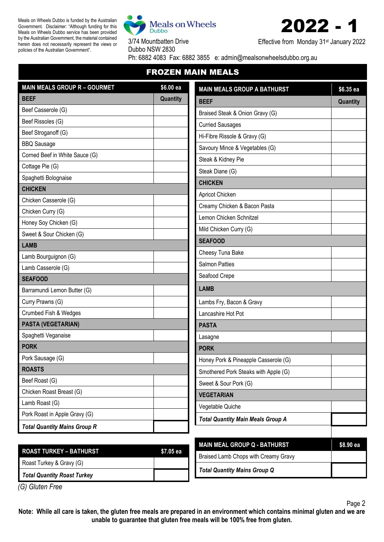Meals on Wheels Dubbo is funded by the Australian Government. Disclaimer: "Although funding for this Meals on Wheels Dubbo service has been provided by the Australian Government, the material contained herein does not necessarily represent the views or policies of the Australian Government".



3/74 Mountbatten Drive



Effective from Monday 31<sup>st</sup> January 2022

Dubbo NSW 2830 Ph: 6882 4083 Fax: 6882 3855 e: admin@mealsonwheelsdubbo.org.au

FROZEN MAIN MEALS

| <b>MAIN MEALS GROUP R - GOURMET</b> | $$6.00$ ea | <b>MAIN MEALS GROUP A BATHURST</b>       | \$6.35 ea |
|-------------------------------------|------------|------------------------------------------|-----------|
| <b>BEEF</b>                         | Quantity   | <b>BEEF</b>                              | Quantity  |
| Beef Casserole (G)                  |            | Braised Steak & Onion Gravy (G)          |           |
| Beef Rissoles (G)                   |            | <b>Curried Sausages</b>                  |           |
| Beef Stroganoff (G)                 |            | Hi-Fibre Rissole & Gravy (G)             |           |
| <b>BBQ Sausage</b>                  |            | Savoury Mince & Vegetables (G)           |           |
| Corned Beef in White Sauce (G)      |            | Steak & Kidney Pie                       |           |
| Cottage Pie (G)                     |            | Steak Diane (G)                          |           |
| Spaghetti Bolognaise                |            | <b>CHICKEN</b>                           |           |
| <b>CHICKEN</b>                      |            | Apricot Chicken                          |           |
| Chicken Casserole (G)               |            | Creamy Chicken & Bacon Pasta             |           |
| Chicken Curry (G)                   |            |                                          |           |
| Honey Soy Chicken (G)               |            | Lemon Chicken Schnitzel                  |           |
| Sweet & Sour Chicken (G)            |            | Mild Chicken Curry (G)                   |           |
| <b>LAMB</b>                         |            | <b>SEAFOOD</b>                           |           |
| Lamb Bourguignon (G)                |            | Cheesy Tuna Bake                         |           |
| Lamb Casserole (G)                  |            | <b>Salmon Patties</b>                    |           |
| <b>SEAFOOD</b>                      |            | Seafood Crepe                            |           |
| Barramundi Lemon Butter (G)         |            | <b>LAMB</b>                              |           |
| Curry Prawns (G)                    |            | Lambs Fry, Bacon & Gravy                 |           |
| Crumbed Fish & Wedges               |            | Lancashire Hot Pot                       |           |
| PASTA (VEGETARIAN)                  |            | <b>PASTA</b>                             |           |
| Spaghetti Veganaise                 |            | Lasagne                                  |           |
| <b>PORK</b>                         |            | <b>PORK</b>                              |           |
| Pork Sausage (G)                    |            | Honey Pork & Pineapple Casserole (G)     |           |
| <b>ROASTS</b>                       |            | Smothered Pork Steaks with Apple (G)     |           |
| Beef Roast (G)                      |            | Sweet & Sour Pork (G)                    |           |
| Chicken Roast Breast (G)            |            | <b>VEGETARIAN</b>                        |           |
| Lamb Roast (G)                      |            | Vegetable Quiche                         |           |
| Pork Roast in Apple Gravy (G)       |            | <b>Total Quantity Main Meals Group A</b> |           |
| <b>Total Quantity Mains Group R</b> |            |                                          |           |
|                                     |            | <b>MAIN MEAL GROUP Q - BATHURST</b>      | \$8.90 ea |

| ROAST TURKEY – BATHURST            | \$7.05 ea |
|------------------------------------|-----------|
| Roast Turkey & Gravy (G)           |           |
| <b>Total Quantity Roast Turkey</b> |           |

| <b>MAIN MEAL GROUP Q - BATHURST</b>  | <b>\$8,90 ea</b> |
|--------------------------------------|------------------|
| Braised Lamb Chops with Creamy Gravy |                  |
| <b>Total Quantity Mains Group Q</b>  |                  |

*(G) Gluten Free*

**Note: While all care is taken, the gluten free meals are prepared in an environment which contains minimal gluten and we are unable to guarantee that gluten free meals will be 100% free from gluten.**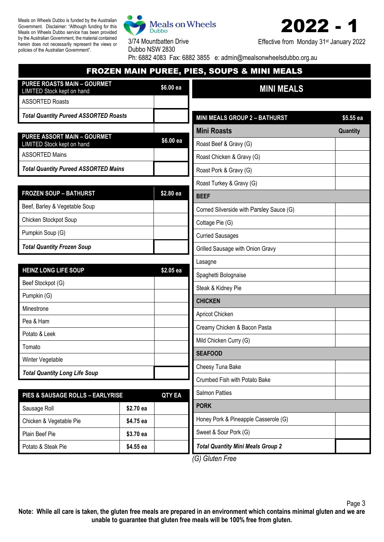Meals on Wheels Dubbo is funded by the Australian Government. Disclaimer: "Although funding for this Meals on Wheels Dubbo service has been provided by the Australian Government, the material contained herein does not necessarily represent the views or policies of the Australian Government".



3/74 Mountbatten Drive



Effective from Monday 31<sup>st</sup> January 2022

Dubbo NSW 2830 Ph: 6882 4083 Fax: 6882 3855 e: admin@mealsonwheelsdubbo.org.au

## FROZEN MAIN PUREE, PIES, SOUPS & MINI MEALS

| <b>PUREE ROASTS MAIN - GOURMET</b><br>\$6.00 ea<br>LIMITED Stock kept on hand |               | <b>MINI MEALS</b>                        |           |
|-------------------------------------------------------------------------------|---------------|------------------------------------------|-----------|
| <b>ASSORTED Roasts</b>                                                        |               |                                          |           |
| <b>Total Quantity Pureed ASSORTED Roasts</b>                                  |               | <b>MINI MEALS GROUP 2 - BATHURST</b>     | \$5.55 ea |
|                                                                               |               | <b>Mini Roasts</b>                       | Quantity  |
| <b>PUREE ASSORT MAIN - GOURMET</b><br>LIMITED Stock kept on hand              | \$6.00 ea     | Roast Beef & Gravy (G)                   |           |
| <b>ASSORTED Mains</b>                                                         |               | Roast Chicken & Gravy (G)                |           |
| <b>Total Quantity Pureed ASSORTED Mains</b>                                   |               | Roast Pork & Gravy (G)                   |           |
|                                                                               |               | Roast Turkey & Gravy (G)                 |           |
| <b>FROZEN SOUP - BATHURST</b>                                                 | \$2.80 ea     | <b>BEEF</b>                              |           |
| Beef, Barley & Vegetable Soup                                                 |               | Corned Silverside with Parsley Sauce (G) |           |
| Chicken Stockpot Soup                                                         |               | Cottage Pie (G)                          |           |
| Pumpkin Soup (G)                                                              |               | <b>Curried Sausages</b>                  |           |
| <b>Total Quantity Frozen Soup</b>                                             |               | Grilled Sausage with Onion Gravy         |           |
|                                                                               |               | Lasagne                                  |           |
| <b>HEINZ LONG LIFE SOUP</b>                                                   | \$2.05 ea     | Spaghetti Bolognaise                     |           |
| Beef Stockpot (G)                                                             |               | Steak & Kidney Pie                       |           |
| Pumpkin (G)                                                                   |               | <b>CHICKEN</b>                           |           |
| Minestrone                                                                    |               | Apricot Chicken                          |           |
| Pea & Ham                                                                     |               | Creamy Chicken & Bacon Pasta             |           |
| Potato & Leek                                                                 |               | Mild Chicken Curry (G)                   |           |
| Tomato                                                                        |               | <b>SEAFOOD</b>                           |           |
| Winter Vegetable                                                              |               | Cheesy Tuna Bake                         |           |
| <b>Total Quantity Long Life Soup</b>                                          |               | Crumbed Fish with Potato Bake            |           |
| PIES & SAUSAGE ROLLS - EARLYRISE                                              | <b>QTY EA</b> | <b>Salmon Patties</b>                    |           |
| Sausage Roll                                                                  | \$2.70 ea     | <b>PORK</b>                              |           |
| Chicken & Vegetable Pie                                                       | \$4.75 ea     | Honey Pork & Pineapple Casserole (G)     |           |
| Plain Beef Pie                                                                | \$3.70 ea     | Sweet & Sour Pork (G)                    |           |
| Potato & Steak Pie                                                            | \$4.55 ea     | <b>Total Quantity Mini Meals Group 2</b> |           |

*(G) Gluten Free*